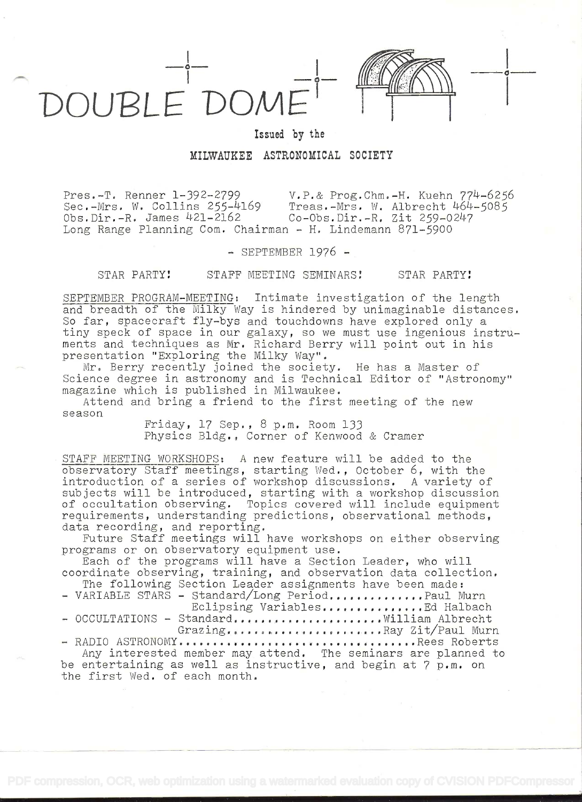

Issued by the

## MILWAUKEE ASTRONOMICAL SOCIETY

Pres.-T. Renner 1-392-2799 V.P.& Prog.Chm.-H. Kuehn 772-P-6256 Treas.-Mrs. W. Albrecht  $464-5085$ <br>Co-Obs.Dir.-R. Zit 259-0247  $Obs.Dir.-R.$  James  $421-2162$ Long Range Planning Com. Chairman - H. Lindemann 871-5900

 $-$  SEPTEMBER 1976  $-$ 

## STAR PARTY! STAFF MEETING SEMINARS! STAR PARTY!

SEPTEMBER PROGRAM-MEETING: In±imate investigation of the length and breadth of the Milky Way is hindered by unimaginable distances. So far, spacecraft fly-bye and touchdowns have explored only a tiny speck of space in our galaxy, so we must use ingenious instruments and techniques as Mr. Richard Berry will point out in his presentation "Exploring the Milky Way".

Mr. Berry recently joined the society. He has a Master of Science degree in astronomy and is Technical Editor of "Astronomy" magazine which is published in Milwaukee.

Attend and bring a friend to the first meeting of the new season

Friday, 17 Sep. , 8 p.m. Room 133 Physics Bldg. , Corner of Kenwood & Cramer

STAFF MEETING WORKSHOPS: A new feature will be added to the observatory Staff meetings, starting Wed., October 6, with the introduction of a series of workshop discussions. A variety of subjects will be introduced, starting with a workshop discussion of occultation observing. Topics covered will include equipment requirements, understanding predictions, observational methods, data recording, and reporting.

Future Staff meetings will have workshops on either observing programs or on observatory equipment use.

Each of the programs will have a Section Leader, who will coordinate observing, training, and observation data collection.

The following Section Leader assignments have been made: - VARIABLE STARS - Standard/Long Period.............Paul Murn Eclipsing Variables............... Ed Halbach - OCCULTATIONS - Standard........................ William Albrecht Grazing.. . . . . . . . . . . . . . , . . . ... . ,Ray Zit/Paul Mum - R AID I O AS T RO N O MY . . . . . . . . . . . . . . . . . . . . . . . . . . . . . . . . . . . R e e s Rob e rt s

Any interested member may attend. The seminars are planned to be entertaining as well as instructive, and begin at 7 p.m. on the first Wed. of each month.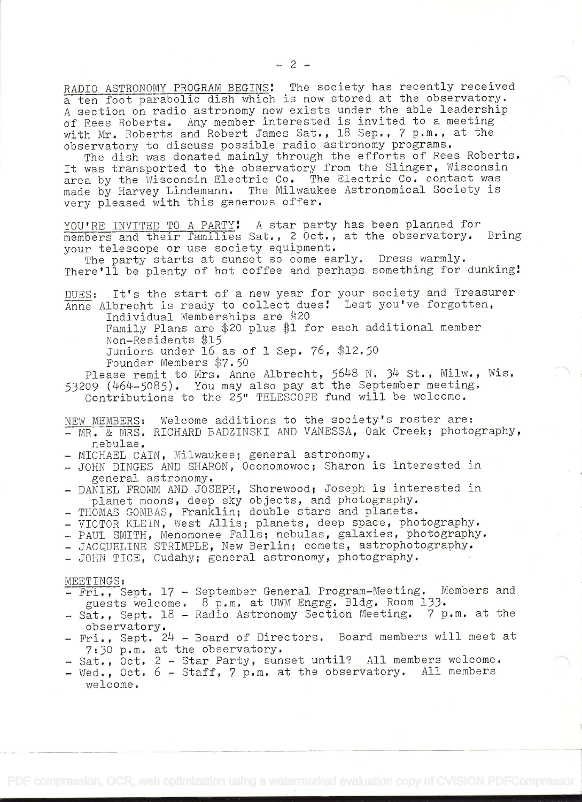RADIO ASTRONOMY PROGRAM BEGINS! The society has recently received a ten foot parabolic dish which is now stored at the observatory. <sup>A</sup>section on radio astronomy now exists under the able leadership of Rees Roberts. Any member interested is invited to a meeting with Mr. Roberts and Robert James Sat., 18 Sep., 7 p.m., at the observatory to discuss possible radio astronomy programs.

The dish was donated mainly through the efforts of Rees Roberts. It was transported to the observatory from the Slinger, Wisconsin area by the Wisconsin Electric Co. The Electric Co. contact was made by Harvey Lindemann. The Milwaukee Astronomical Society is very pleased with this generous offer.

YOU'RE INVITED TO A PARTY! A star party has been planned for<br>members and their families Sat.. 2 Oct., at the observatory. Bring members and their families Sat., 2 Oct., at the observatory. your telescope or use society equipment.<br>The party starts at sunset so come early. Dress warmly.

There'll be plenty of hot coffee and perhaps something for dunking!

DUES: It's the start of a new year for your society and Treasurer  $\overline{\text{A}$ nne Albrecht is ready to collect dues! Lest you've forgotten,<br>Individual Memberships are \$20

Family Plans are \$20 plus \$1 for each additional member Non-Residents \$15

Juniors under 16 as of 1 Sep.  $76, $12.50$ 

Founder Members \$7.50

Please remit to Mrs. Anne Albrecht, 5648 N. 34 St., Milw., Wis. 53209 (464-5085). You may also pay at the September meeting.<br>Contributions to the 25" TELESCOPE fund will be welcome.

- NEW MEMBERS: Welcome additions to the society's roster are:<br>- MR. & MRS. RICHARD BADZINSKI AND VANESSA, Oak Creek; photography,<br>nebulae.<br>- MICHAEL CAIN, Milwaukee; general astronomy.<br>- JOHN DINGES AND SHARON, Oconomowoc; S
- 
- 
- general astronomy.<br>- DANIEL FROMM AND JOSEPH, Shorewood; Joseph is interested in planet moons, deep sky objects, and photography.<br>- THOMAS GOMBAS, Franklin; double stars and planets.<br>- VICTOR KLEIN, West Allis; planets, deep space, photography.<br>- PAUL SMITH, Menomonee Falls; nebulas, galaxies, photogra
- 
- 
- 
- 
- 

- MEETINGS:<br>- Fri., Sept. 17 September General Program-Meeting. Members and<br>guests welcome. 8 p.m. at UWM Engrg. Bldg. Room 133.
- Sat., Sept. 18 Radio Astronomy Section Meeting. 7 p.m. at the observatory.
- Fri., Sept.  $24$  Board of Directors. Board members will meet at  $7:30$  p.m. at the observatory.
- Sat., Oct. 2 Star Party, sunset until? All members welcome.<br>- Wed., Oct. 6 Staff, 7 p.m. at the observatory. All members
- welcome.